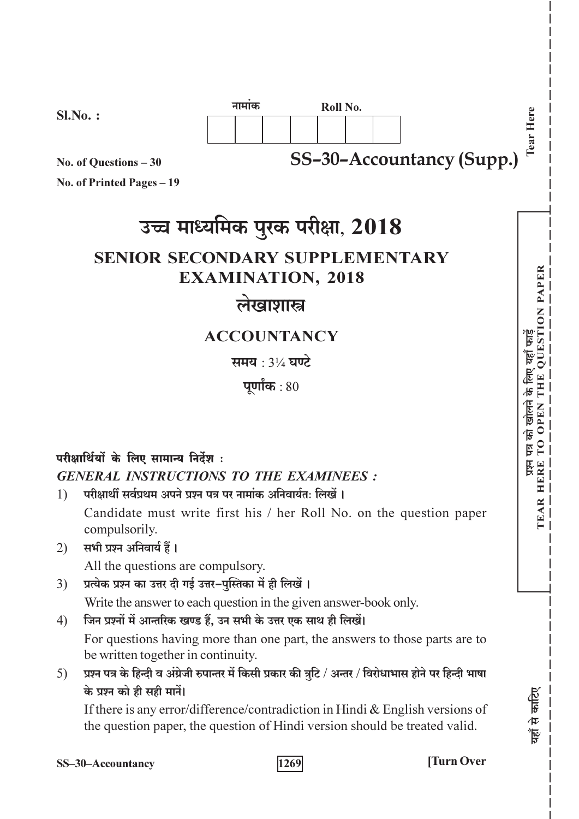

No. of Questions - 30

No. of Printed Pages - 19

# उच्च माध्यमिक पुरक परीक्षा, 2018

## **SENIOR SECONDARY SUPPLEMENTARY EXAMINATION, 2018**

## लेखाशास्त्र

### **ACCOUNTANCY**

समय : 31/4 घण्टे

पूर्णांक $:80$ 

## परीक्षार्थियों के लिए सामान्य निर्देश: **GENERAL INSTRUCTIONS TO THE EXAMINEES:**

परीक्षार्थी सर्वप्रथम अपने पञ्च पत्र पर नामांक अनिवार्यतः लिखें ।  $\left( \right)$ Candidate must write first his / her Roll No. on the question paper compulsorily.

### 2) सभी प्रश्न अनिवार्य हैं।

All the questions are compulsory.

प्रत्येक प्रश्न का उत्तर दी गई उत्तर–पुस्तिका में ही लिखें ।  $3)$ 

Write the answer to each question in the given answer-book only.

जिन प्रश्नों में आन्तरिक खण्ड हैं, उन सभी के उत्तर एक साथ ही लिखें।  $4)$ 

For questions having more than one part, the answers to those parts are to be written together in continuity.

प्रश्न पत्र के हिन्दी व अंग्रेजी रुपान्तर में किसी प्रकार की त्रूटि / अन्तर / विरोधाभास होने पर हिन्दी भाषा  $5)$ के प्रश्न को ही सही मानें।

If there is any error/difference/contradiction in Hindi  $&$  English versions of the question paper, the question of Hindi version should be treated valid.

1269

**Turn Over** 

**OUESTION PAPER** 

प्रथम पत्र को खोलने के लिए यहाँ फार्डे<br>TEAR HERE TO OPEN THE QUEST!

गहाँ से काटिए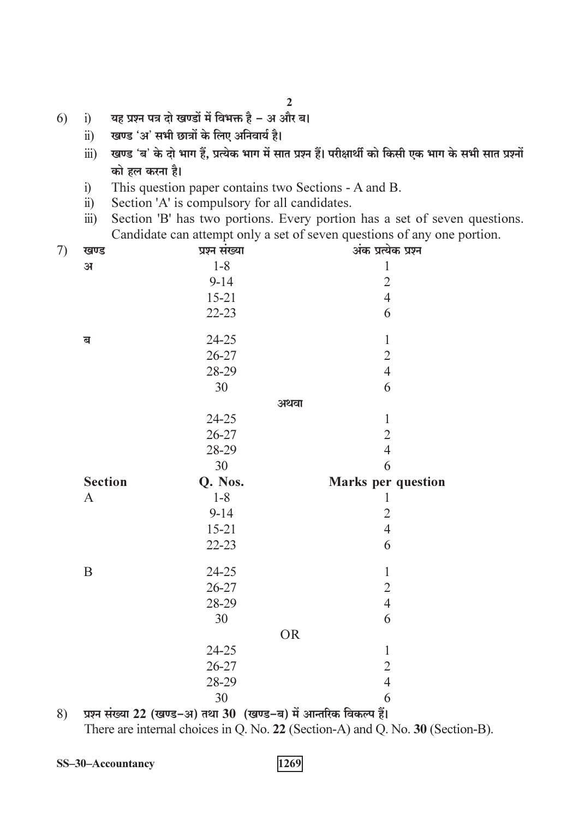- यह प्रश्न पत्र दो खण्डों में विभक्त है अ और ब।  $6)$  $i)$ 
	- खण्ड 'अ' सभी छात्रों के लिए अनिवार्य है।  $\ddot{\text{ii}}$
	- खण्ड 'ब' के दो भाग हैं, प्रत्येक भाग में सात प्रश्न हैं। परीक्षार्थी को किसी एक भाग के सभी सात प्रश्नों  $\dddot{\mathbf{u}}$ को हल करना है।
	- This question paper contains two Sections A and B.  $i)$
	- Section 'A' is compulsory for all candidates.  $\ddot{\text{ii}})$
	- Section 'B' has two portions. Every portion has a set of seven questions.  $\dddot{\mathbf{u}}$ ) Candidate can attempt only a set of seven questions of any one portion.

| 7)       | खण्ड                    | х.<br>प्रश्न संख्या |           | अंक प्रत्येक प्रश्न       |
|----------|-------------------------|---------------------|-----------|---------------------------|
|          | $\mathbf{H}$            | $1 - 8$             |           | $\mathbf{1}$              |
|          |                         | $9 - 14$            |           |                           |
|          |                         | $15 - 21$           |           | $\frac{2}{4}$             |
|          |                         | $22 - 23$           |           | 6                         |
|          | $\overline{\mathbf{d}}$ | $24 - 25$           |           | $\mathbf 1$               |
|          |                         | 26-27               |           | $\overline{2}$            |
|          |                         | 28-29               |           | $\overline{4}$            |
|          |                         | 30                  |           | 6                         |
|          |                         |                     | अथवा      |                           |
|          |                         | $24 - 25$           |           | $\,1$                     |
|          |                         | $26 - 27$           |           | $\overline{c}$            |
|          |                         | 28-29               |           | $\overline{4}$            |
|          |                         | 30                  |           | 6                         |
|          | <b>Section</b>          | Q. Nos.             |           | <b>Marks</b> per question |
|          | $\mathbf{A}$            | $1 - 8$             |           | $\mathbf{1}$              |
|          |                         | $9 - 14$            |           | $\overline{2}$            |
|          |                         | $15 - 21$           |           | $\overline{4}$            |
|          |                         | $22 - 23$           |           | 6                         |
|          | $\, {\bf B}$            | 24-25               |           | $\mathbbm{1}$             |
|          |                         | $26 - 27$           |           | $\overline{c}$            |
|          |                         | 28-29               |           | $\overline{4}$            |
|          |                         | 30                  |           | 6                         |
|          |                         |                     | <b>OR</b> |                           |
|          |                         | $24 - 25$           |           | $\mathbf{1}$              |
|          |                         | 26-27               |           | $\overline{2}$            |
|          |                         | 28-29               |           | $\overline{4}$            |
|          |                         | 30                  |           | 6                         |
| $\Omega$ |                         |                     |           | $\Delta$ .                |

प्रश्न संख्या 22 (खण्ड–अ) तथा 30 (खण्ड–ब) में आन्तरिक विकल्प हैं। 8) There are internal choices in Q. No. 22 (Section-A) and Q. No. 30 (Section-B).

SS-30-Accountancy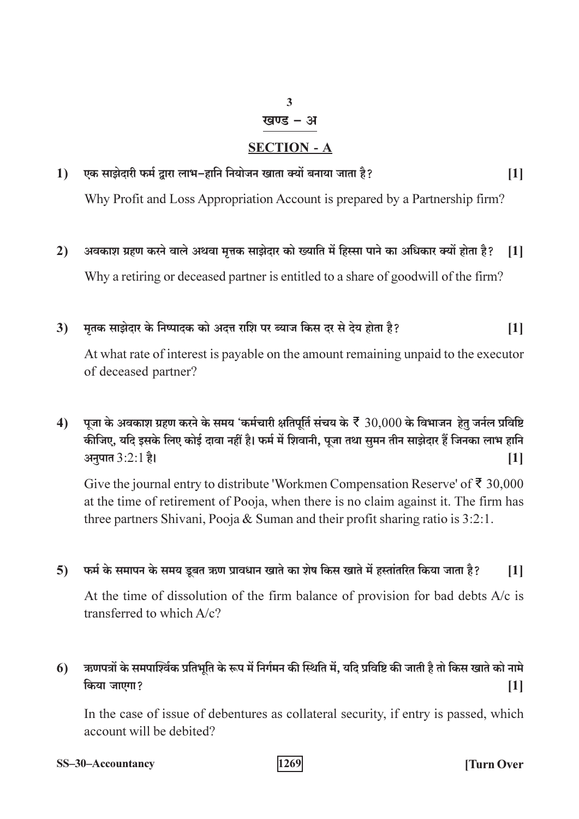### $\overline{3}$

#### खण्ड – अ

### **SECTION - A**

एक साझेदारी फर्म द्वारा लाभ-हानि नियोजन खाता क्यों बनाया जाता है?  $1)$  $[1]$ 

Why Profit and Loss Appropriation Account is prepared by a Partnership firm?

अवकाश ग्रहण करने वाले अथवा मत्तक साझेदार को ख्याति में हिस्सा पाने का अधिकार क्यों होता है?  $2)$ **11** Why a retiring or deceased partner is entitled to a share of goodwill of the firm?

#### मृतक साझेदार के निष्पादक को अदत्त राशि पर ब्याज किस दर से देय होता है?  $3)$  $[1]$

At what rate of interest is payable on the amount remaining unpaid to the executor of deceased partner?

पूजा के अवकाश ग्रहण करने के समय 'कर्मचारी क्षतिपूर्ति संचय के  $\bar{\xi}$  30,000 के विभाजन हेतु जर्नल प्रविष्टि  $\blacktriangleleft$ कीजिए, यदि इसके लिए कोई दावा नहीं है। फर्म में शिवानी, पूजा तथा सुमन तीन साझेदार हैं जिनका लाभ हानि अनुपात 3:2:1 है।  $[1]$ 

Give the journal entry to distribute 'Workmen Compensation Reserve' of  $\bar{\tau}$  30,000 at the time of retirement of Pooja, when there is no claim against it. The firm has three partners Shivani, Pooja & Suman and their profit sharing ratio is  $3:2:1$ .

#### ्फर्म के समापन के समय डूबत ऋण प्रावधान खाते का शेष किस खाते में हस्तांतरित किया जाता है?  $5)$  $[1]$

At the time of dissolution of the firm balance of provision for bad debts  $A/c$  is transferred to which A/c?

#### ऋणपत्रों के समपाश्विंक प्रतिभूति के रूप में निर्गमन की स्थिति में, यदि प्रविष्टि की जाती है तो किस खाते को नामे  $6)$ किया जाएगा?  $[1]$

In the case of issue of debentures as collateral security, if entry is passed, which account will be debited?

SS-30-Accountancy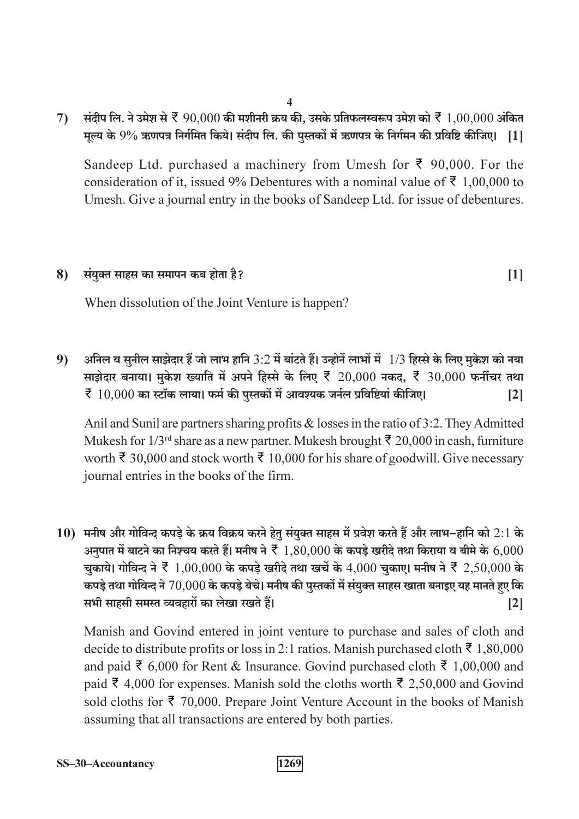$\overline{\mathbf{4}}$ 

्संदीप लि. ने उमेश से ₹  $90.000$  की मशीनरी क्रय की. उसके प्रतिफलस्वरूप उमेश को ₹  $1.00.000$  अंकित  $7)$ मुल्य के 9% ऋणपत्र निर्गमित किये। संदीप लि. की पुस्तकों में ऋणपत्र के निर्गमन की प्रविष्टि कीजिए। [1]

Sandeep Ltd. purchased a machinery from Umesh for  $\bar{\xi}$  90,000. For the consideration of it, issued 9% Debentures with a nominal value of  $\bar{\xi}$  1,00,000 to Umesh. Give a journal entry in the books of Sandeep Ltd. for issue of debentures.

 $[1]$ 

#### संयुक्त साहस का समापन कब होता है? 8)

When dissolution of the Joint Venture is happen?

अनिल व सुनील साझेदार हैं जो लाभ हानि 3:2 में बांटते हैं। उन्होनें लाभों में 1/3 हिस्से के लिए मुकेश को नया  $9)$ साझेदार बनाया। मुकेश ख्याति में अपने हिस्से के लिए ₹ 20,000 नकद, ₹ 30,000 फर्नीचर तथा  $\bar{\mathcal{F}}$   $10.000$  का स्टॉक लाया। फर्म की पस्तकों में आवश्यक जर्नल प्रविष्टियां कीजिए।  $\lceil 2 \rceil$ 

Anil and Sunil are partners sharing profits & losses in the ratio of 3:2. They Admitted Mukesh for  $1/3^{rd}$  share as a new partner. Mukesh brought  $\bar{\xi}$  20,000 in cash, furniture worth ₹ 30,000 and stock worth ₹ 10,000 for his share of goodwill. Give necessary journal entries in the books of the firm.

10) मनीष और गोविन्द कपड़े के क्रय विक्रय करने हेतू संयुक्त साहस में प्रवेश करते हैं और लाभ-हानि को 2:1 के अनुपात में बाटने का निश्चय करते हैं। मनीष ने  $\bar{\xi}$   $1.80,000$  के कपडे खरीदे तथा किराया व बीमे के  $6,000$ चुकाये। गोविन्द ने ₹ 1,00,000 के कपड़े खरीदे तथा खर्चे के 4,000 चुकाए। मनीष ने ₹ 2,50,000 के कपड़े तथा गोविन्द ने  $70,\!000$  के कपड़े बेचे। मनीष की पुस्तकों में संयुक्त साहस खाता बनाइए यह मानते हुए कि सभी साहसी समस्त व्यवहारों का लेखा रखते हैं।  $\lceil 2 \rceil$ 

Manish and Govind entered in joint venture to purchase and sales of cloth and decide to distribute profits or loss in 2:1 ratios. Manish purchased cloth ₹ 1,80,000 and paid ₹ 6,000 for Rent & Insurance. Govind purchased cloth ₹ 1,00,000 and paid ₹ 4,000 for expenses. Manish sold the cloths worth ₹ 2,50,000 and Govind sold cloths for  $\bar{\xi}$  70,000. Prepare Joint Venture Account in the books of Manish assuming that all transactions are entered by both parties.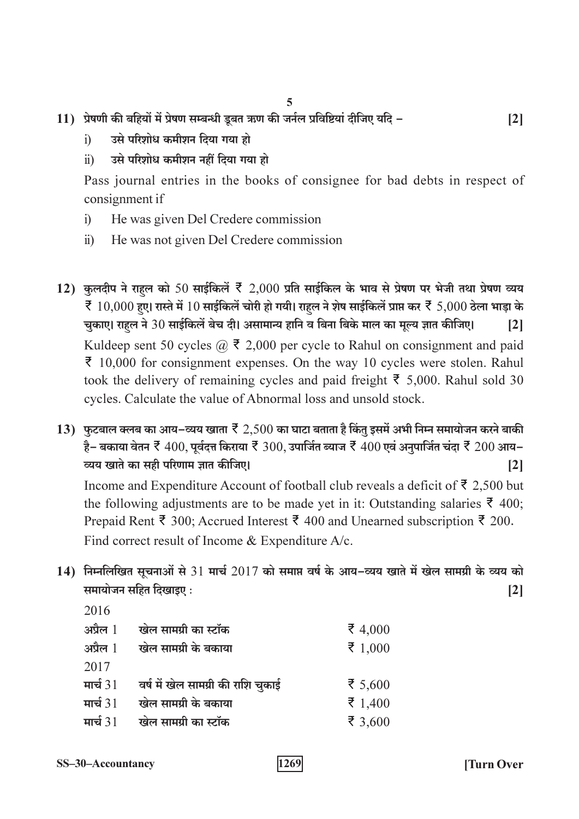- 11) प्रेषणी की बहियों में प्रेषण सम्बन्धी डूबत ऋण की जर्नल प्रविष्टियां दीजिए यदि
	- उसे परिशोध कमीशन दिया गया हो  $\ddot{1}$
	- उसे परिशोध कमीशन नहीं दिया गया हो  $\ddot{1}$

Pass journal entries in the books of consignee for bad debts in respect of consignment if

- $i)$ He was given Del Credere commission
- He was not given Del Credere commission  $\ddot{u}$
- 12) कुलदीप ने राहल को 50 साईकिलें रें 2,000 प्रति साईकिल के भाव से प्रेषण पर भेजी तथा प्रेषण व्यय ₹ 10,000 हुए। रास्ते में 10 साईकिलें चोरी हो गयी। राहल ने शेष साईकिलें प्राप्त कर ₹ 5,000 ठेला भाड़ा के चुकाए। राहल ने 30 साईकिलें बेच दी। असामान्य हानि व बिना बिके माल का मूल्य ज्ञात कीजिए।  $\lceil 2 \rceil$ Kuldeep sent 50 cycles  $\omega$  ₹ 2,000 per cycle to Rahul on consignment and paid  $\bar{\xi}$  10,000 for consignment expenses. On the way 10 cycles were stolen. Rahul took the delivery of remaining cycles and paid freight  $\bar{\xi}$  5,000. Rahul sold 30 cycles. Calculate the value of Abnormal loss and unsold stock.
- 13) फुटबाल क्लब का आय–व्यय खाता रै $2,500$  का घाटा बताता है किंतु इसमें अभी निम्न समायोजन करने बाकी है– बकाया वेतन रें  $400$ , पूर्वदत्त किराया रें  $300$ , उपार्जित ब्याज रें  $400$  एवं अनुपार्जित चंदा रें  $200$  आय– व्यय खाते का सही परिणाम ज्ञात कीजिए।  $\lceil 2 \rceil$

Income and Expenditure Account of football club reveals a deficit of  $\bar{\xi}$  2,500 but the following adjustments are to be made yet in it: Outstanding salaries  $\bar{\xi}$  400; Prepaid Rent ₹ 300; Accrued Interest ₹ 400 and Unearned subscription ₹ 200. Find correct result of Income & Expenditure A/c.

14) निम्नलिखित सूचनाओं से 31 मार्च 2017 को समाप्त वर्ष के आय-व्यय खाते में खेल सामग्री के व्यय को समायोजन सहित दिखाइए:  $\lceil 2 \rceil$ 

| 2016         |                                    |         |
|--------------|------------------------------------|---------|
| अप्रैल $1$   | खेल सामग्री का स्टॉक               | ₹ 4,000 |
| अप्रैल $~1~$ | खेल सामग्री के बकाया               | ₹ 1,000 |
| 2017         |                                    |         |
| मार्च $31$   | वर्ष में खेल सामग्री की राशि चुकाई | ₹ 5,600 |
| मार्च $31$   | खेल सामग्री के बकाया               | ₹ 1,400 |
| मार्च $31$   | खेल सामग्री का स्टॉक               | ₹ 3,600 |

 $\lceil 2 \rceil$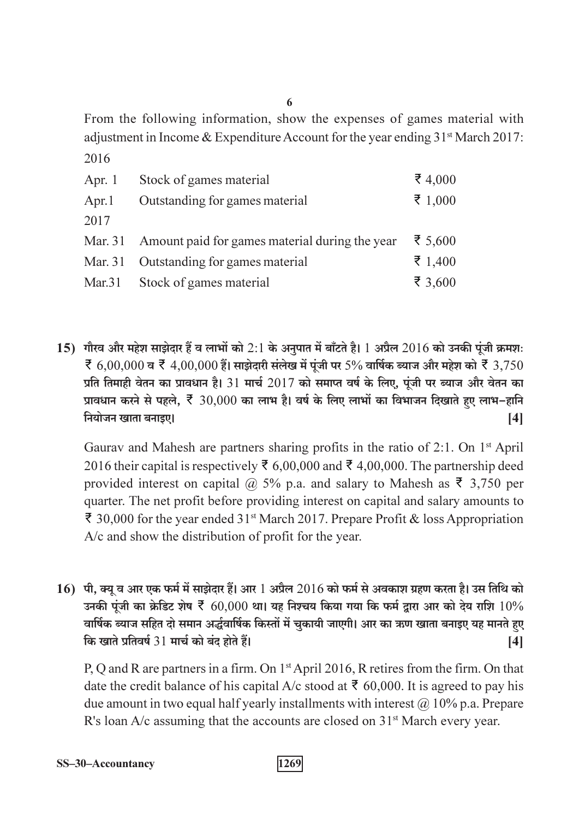From the following information, show the expenses of games material with adjustment in Income & Expenditure Account for the year ending 31<sup>st</sup> March 2017: 2016

| Apr. $1$<br>Apr. $1$<br>2017 | Stock of games material<br>Outstanding for games material | ₹ 4,000<br>₹ 1,000 |
|------------------------------|-----------------------------------------------------------|--------------------|
|                              | Mar. 31 Amount paid for games material during the year    | र 5,600            |
| Mar. 31                      | Outstanding for games material                            | ₹ 1,400            |
|                              | Mar.31 Stock of games material                            | ₹ 3,600            |

15) गौरव और महेश साझेदार हैं व लाभों को 2:1 के अनपात में बाँटते है। 1 अप्रैल 2016 को उनकी पंजी क्रमशः र्  $6.00.000$  व रें  $4.00.000$  हैं। साझेदारी संलेख में पंजी पर 5% वार्षिक ब्याज और महेश को रें  $3.750$ प्रति तिमाही वेतन का प्रावधान है। 31 मार्च 2017 को समाप्त वर्ष के लिए, पूंजी पर ब्याज और वेतन का प्रावधान करने से पहले. रें 30,000 का लाभ है। वर्ष के लिए लाभों का विभाजन दिखाते हुए लाभ-हानि नियोजन खाता बनाइए।  $[4]$ 

Gaurav and Mahesh are partners sharing profits in the ratio of 2:1. On 1<sup>st</sup> April 2016 their capital is respectively ₹ 6,00,000 and ₹ 4,00,000. The partnership deed provided interest on capital @ 5% p.a. and salary to Mahesh as  $\bar{z}$  3,750 per quarter. The net profit before providing interest on capital and salary amounts to ₹ 30,000 for the year ended 31<sup>st</sup> March 2017. Prepare Profit & loss Appropriation A/c and show the distribution of profit for the year.

16) पी, क्यू व आर एक फर्म में साझेदार हैं। आर 1 अप्रैल 2016 को फर्म से अवकाश ग्रहण करता है। उस तिथि को उनकी पूंजी का क्रेडिट शेष रें 60,000 था। यह निश्चय किया गया कि फर्म द्रारा आर को देय राशि  $10\%$ वार्षिक ब्याज सहित दो समान अर्द्धवार्षिक किस्तों में चुकायी जाएगी। आर का ऋण खाता बनाइए यह मानते हुए कि खाते प्रतिवर्ष 31 मार्च को बंद होते हैं।  $[4]$ 

P, Q and R are partners in a firm. On 1<sup>st</sup> April 2016, R retires from the firm. On that date the credit balance of his capital A/c stood at  $\bar{\tau}$  60,000. It is agreed to pay his due amount in two equal half yearly installments with interest  $\omega$  10% p.a. Prepare R's loan A/c assuming that the accounts are closed on 31<sup>st</sup> March every year.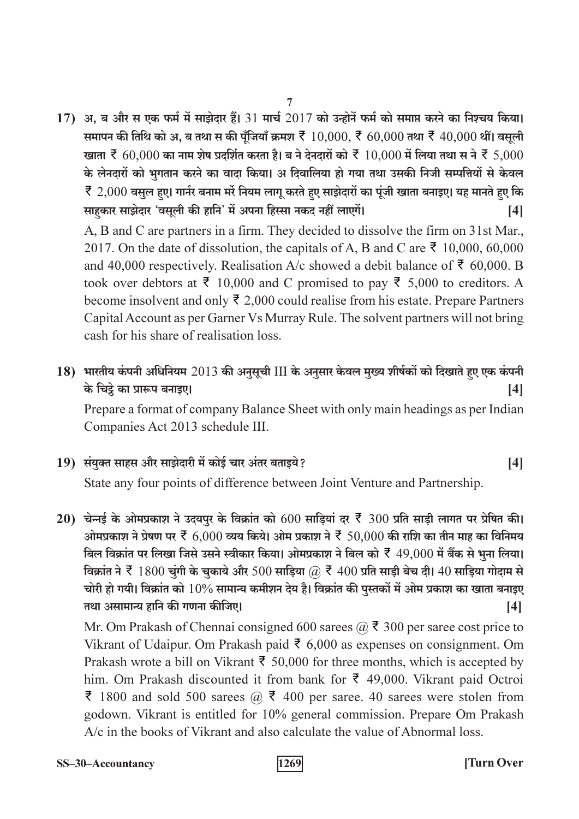17) अ, ब और स एक फर्म में साझेदार हैं। 31 मार्च 2017 को उन्होनें फर्म को समाप्त करने का निश्चय किया। समापन की तिथि को अ, ब तथा स की पूँजियाँ क्रमश  $\bar{x}$   $10,000$ ,  $\bar{x}$   $60,000$  तथा  $\bar{x}$   $40,000$  थीं। वसूली खाता ₹ 60,000 का नाम शेष प्रदर्शित करता है। ब ने देनदारों को ₹  $10,000$  में लिया तथा स ने ₹ 5,000 के लेनदारों को भूगतान करने का वादा किया। अ दिवालिया हो गया तथा उसकी निजी सम्पत्तियों से केवल ₹ 2,000 वसूल हुए। गार्नर बनाम मरें नियम लागू करते हुए साझेदारों का पूंजी खाता बनाइए। यह मानते हुए कि साहकार साझेदार 'वसूली की हानि' में अपना हिस्सा नकद नहीं लाएगें।  $[4]$ 

 $\overline{7}$ 

A, B and C are partners in a firm. They decided to dissolve the firm on 31st Mar., 2017. On the date of dissolution, the capitals of A, B and C are  $\bar{\xi}$  10,000, 60,000 and 40,000 respectively. Realisation A/c showed a debit balance of ₹ 60,000. B took over debtors at  $\bar{\xi}$  10,000 and C promised to pay  $\bar{\xi}$  5,000 to creditors. A become insolvent and only  $\bar{\xi}$  2,000 could realise from his estate. Prepare Partners Capital Account as per Garner Vs Murray Rule. The solvent partners will not bring cash for his share of realisation loss.

#### 18) भारतीय कंपनी अधिनियम 2013 की अनुसूची III के अनुसार केवल मुख्य शीर्षकों को दिखाते हुए एक कंपनी के चिट्ठे का प्रारूप बनाइए।  $[4]$

Prepare a format of company Balance Sheet with only main headings as per Indian Companies Act 2013 schedule III.

19) संयुक्त साहस और साझेदारी में कोई चार अंतर बताइये?

State any four points of difference between Joint Venture and Partnership.

20) चेन्नई के ओमप्रकाश ने उदयपुर के विक्रांत को  $600$  साड़ियां दर रें 300 प्रति साड़ी लागत पर प्रेषित की। ओमप्रकाश ने प्रेषण पर ₹ 6,000 व्यय किये। ओम प्रकाश ने ₹ 50,000 की राशि का तीन माह का विनिमय बिल विक्रांत पर लिखा जिसे उसने स्वीकार किया। ओमप्रकाश ने बिल को ₹ 49,000 में बैंक से भूना लिया। विक्रांत ने ₹ 1800 चुंगी के चुकाये और 500 साड़िया @ ₹ 400 प्रति साड़ी बेच दी। 40 साड़िया गोदाम से चोरी हो गयी। विक्रांत को  $10\%$  सामान्य कमीशन देय है। विक्रांत की पुस्तकों में ओम प्रकाश का खाता बनाइए तथा असामान्य हानि की गणना कीजिए।  $[4]$ 

Mr. Om Prakash of Chennai consigned 600 sarees  $(a)$ ,  $\overline{z}$  300 per saree cost price to Vikrant of Udaipur. Om Prakash paid  $\bar{\xi}$  6,000 as expenses on consignment. Om Prakash wrote a bill on Vikrant ₹ 50,000 for three months, which is accepted by him. Om Prakash discounted it from bank for  $\bar{\xi}$  49,000. Vikrant paid Octroi ₹ 1800 and sold 500 sarees  $\omega$  ₹ 400 per saree. 40 sarees were stolen from godown. Vikrant is entitled for 10% general commission. Prepare Om Prakash A/c in the books of Vikrant and also calculate the value of Abnormal loss.

 $[4]$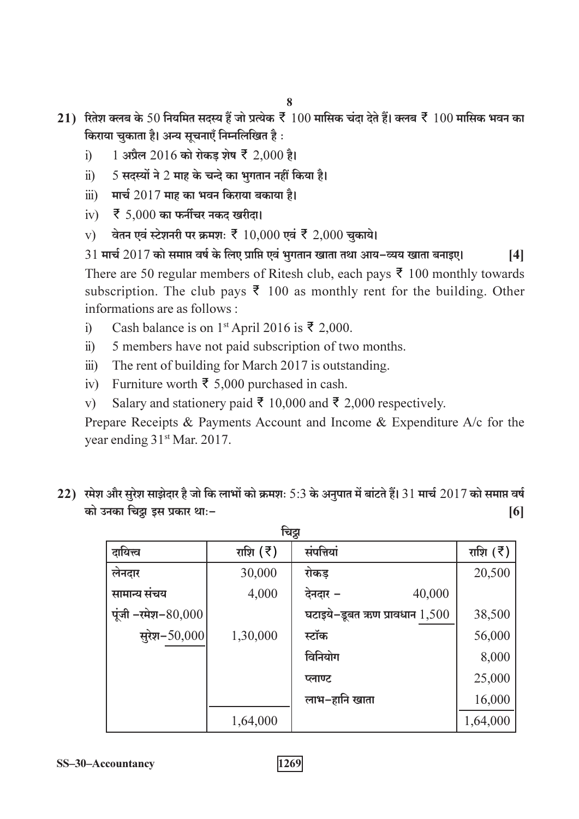- 21) रितेश क्लब के 50 नियमित सदस्य हैं जो प्रत्येक ₹ 100 मासिक चंदा देते हैं। क्लब ₹ 100 मासिक भवन का किराया चुकाता है। अन्य सूचनाएँ निम्नलिखित है:
	- 1 अप्रैल 2016 को रोकड़ शेष ₹ 2,000 है।  $i)$
	- $5$  सदस्यों ने 2 माह के चन्दे का भगतान नहीं किया है।  $\ddot{u}$
	- मार्च  $2017$  माह का भवन किराया बकाया है।  $\dddot{\mathbf{u}}$
	- iv)  $\bar{z}$  5,000 का फर्नीचर नकद खरीदा।
	- वेतन एवं स्टेशनरी पर क्रमशः ₹ 10,000 एवं ₹ 2,000 चुकाये।  $V$ )

 $31$  मार्च  $2017$  को समाप्त वर्ष के लिए प्राप्ति एवं भुगतान खाता तथा आय–व्यय खाता बनाइए।  $[4]$ There are 50 regular members of Ritesh club, each pays  $\bar{z}$  100 monthly towards subscription. The club pays  $\bar{\xi}$  100 as monthly rent for the building. Other informations are as follows ·

- Cash balance is on 1<sup>st</sup> April 2016 is ₹ 2,000.  $i)$
- 5 members have not paid subscription of two months.  $\ddot{i}$
- The rent of building for March 2017 is outstanding.  $\dddot{\mathbf{u}}$
- Furniture worth ₹ 5,000 purchased in cash.  $iv)$
- Salary and stationery paid ₹ 10,000 and ₹ 2,000 respectively.  $V$ )

Prepare Receipts & Payments Account and Income & Expenditure A/c for the year ending 31st Mar. 2017.

22) रमेश और सुरेश साझेदार है जो कि लाभों को क्रमशः 5:3 के अनुपात में बांटते हैं। 31 मार्च 2017 को समाप्त वर्ष को उनका चिट्न इस प्रकार थाः- $[6]$ 

| चिट्ठा                |           |                                 |            |  |  |  |
|-----------------------|-----------|---------------------------------|------------|--|--|--|
| दायित्त्व             | राशि (रे) | संपत्तियां                      | राशि $(3)$ |  |  |  |
| लेनदार                | 30,000    | रोकड                            | 20,500     |  |  |  |
| सामान्य संचय          | 4,000     | 40,000<br>देनदार –              |            |  |  |  |
| पूंजी –रमेश– $80,000$ |           | घटाइये-डूबत ऋण प्रावधान $1,500$ | 38,500     |  |  |  |
| सुरेश $-50,000$       | 1,30,000  | स्टॉक                           | 56,000     |  |  |  |
|                       |           | विनियोग                         | 8,000      |  |  |  |
|                       |           | प्लाण्ट                         | 25,000     |  |  |  |
|                       |           | लाभ–हानि खाता                   | 16,000     |  |  |  |
|                       | 1,64,000  |                                 | 1,64,000   |  |  |  |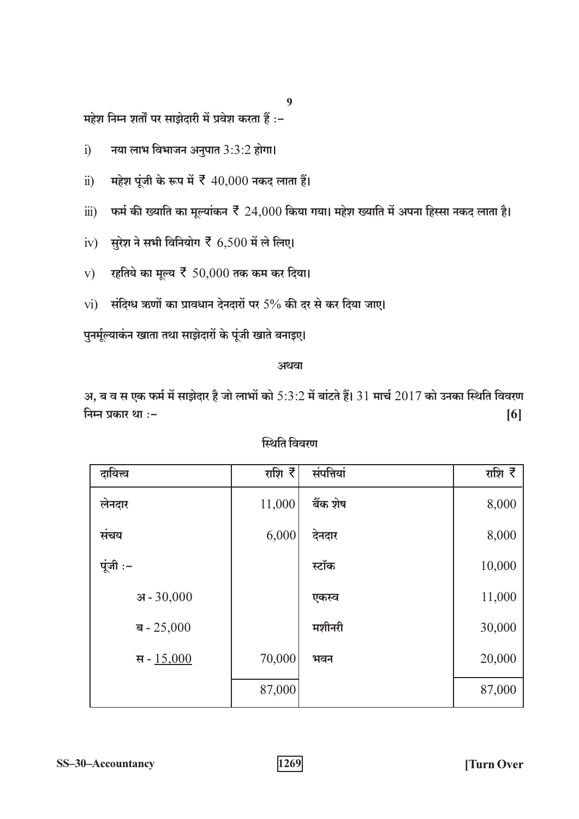$\boldsymbol{9}$ 

महेश निम्न शर्तों पर साझेदारी में प्रवेश करता हैं :-

- नया लाभ विभाजन अनुपात 3:3:2 होगा।  $i)$
- महेश पूंजी के रूप में ₹  $40,000$  नकद लाता हैं।  $\ddot{\text{1}}$
- फर्म की ख्याति का मूल्यांकन ₹  $24,\!000$  किया गया। महेश ख्याति में अपना हिस्सा नकद लाता है।  $\dddot{\mathbf{u}}$
- iv) सुरेश ने सभी विनियोग  $\bar{z}$  6,500 में ले लिए।
- v) रहतिये का मूल्य  $\bar{\xi}$  50,000 तक कम कर दिया।
- $vi)$  संदिग्ध ऋणों का प्रावधान देनदारों पर 5% की दर से कर दिया जाए।

पुनर्मूल्याकंन खाता तथा साझेदारों के पूंजी खाते बनाइए।

#### अथवा

अ, ब व स एक फर्म में साझेदार है जो लाभों को  $5:3:2$  में बांटते हैं।  $31$  मार्च  $2017$  को उनका स्थिति विवरण निम्न प्रकार था :- $[6]$ 

| दायित्त्व    | राशि रे | संपत्तियां | राशि रे |
|--------------|---------|------------|---------|
| लेनदार       | 11,000  | बैंक शेष   | 8,000   |
| संचय         | 6,000   | देनदार     | 8,000   |
| पूंजी:-      |         | स्टॉक      | 10,000  |
| अ $-30,000$  |         | एकस्व      | 11,000  |
| ब - $25,000$ |         | मशीनरी     | 30,000  |
| स - $15,000$ | 70,000  | भवन        | 20,000  |
|              | 87,000  |            | 87,000  |

स्थिति विवरण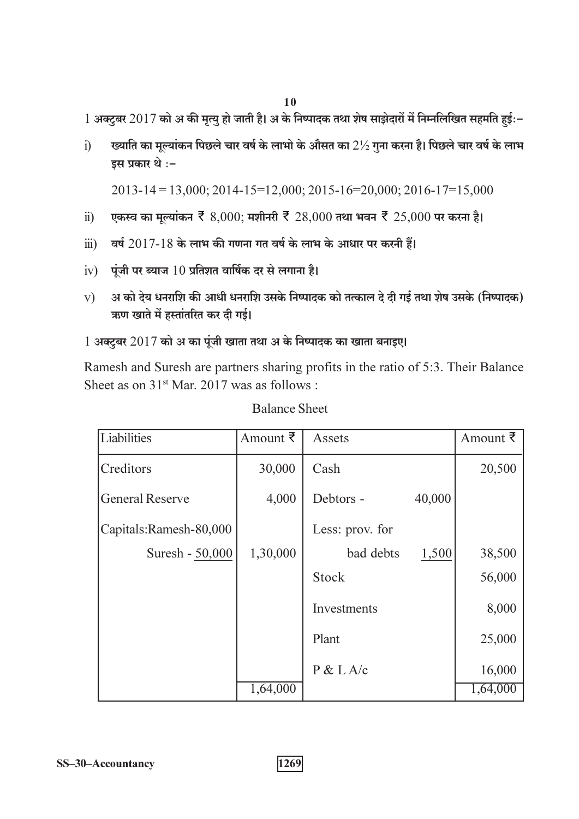1 अक्टुबर 2017 को अ की मृत्यु हो जाती है। अ के निष्पादक तथा शेष साझेदारों में निम्नलिखित सहमति हुई:-

ख्याति का मूल्यांकन पिछले चार वर्ष के लाभो के औसत का  $2\frac{1}{2}$  गुना करना है। पिछले चार वर्ष के लाभ  $\overline{1}$ इस प्रकार थे :-

 $2013 - 14 = 13,000$ ;  $2014 - 15 = 12,000$ ;  $2015 - 16 = 20,000$ ;  $2016 - 17 = 15,000$ 

- एकस्व का मुल्यांकन ₹ 8,000; मशीनरी ₹ 28,000 तथा भवन ₹ 25,000 पर करना है।  $\ddot{u}$
- वर्ष 2017-18 के लाभ की गणना गत वर्ष के लाभ के आधार पर करनी हैं।  $\dddot{\mathbf{i}}$
- $iv)$  पूंजी पर ब्याज 10 प्रतिशत वार्षिक दर से लगाना है।
- अ को देय धनराशि की आधी धनराशि उसके निष्पादक को तत्काल दे दी गई तथा शेष उसके (निष्पादक)  $V$ ऋण खाते में हस्तांतरित कर दी गई।

1 अक्टूबर 2017 को अ का पूंजी खाता तथा अ के निष्पादक का खाता बनाइए।

Ramesh and Suresh are partners sharing profits in the ratio of 5:3. Their Balance Sheet as on  $31<sup>st</sup>$  Mar. 2017 was as follows:

| Liabilities            | Amount ₹ | Assets          |        | Amount ₹ |
|------------------------|----------|-----------------|--------|----------|
| Creditors              | 30,000   | Cash            |        | 20,500   |
| <b>General Reserve</b> | 4,000    | Debtors -       | 40,000 |          |
| Capitals:Ramesh-80,000 |          | Less: prov. for |        |          |
| Suresh - 50,000        | 1,30,000 | bad debts       | 1,500  | 38,500   |
|                        |          | Stock           |        | 56,000   |
|                        |          | Investments     |        | 8,000    |
|                        |          | Plant           |        | 25,000   |
|                        |          | P & L A/c       |        | 16,000   |
|                        | 1,64,000 |                 |        | 1,64,000 |

### **Balance Sheet**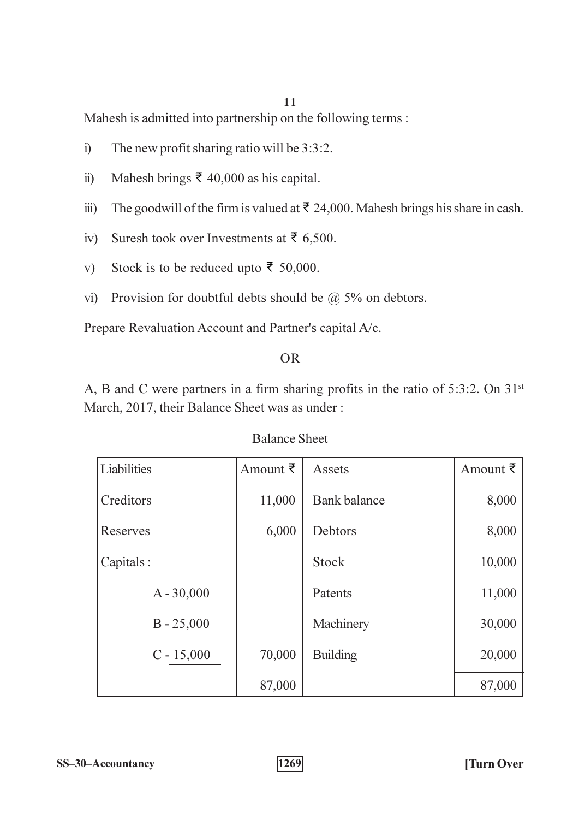Mahesh is admitted into partnership on the following terms:

- The new profit sharing ratio will be 3:3:2.  $\ddot{1}$
- Mahesh brings  $\bar{\xi}$  40,000 as his capital.  $\ddot{i}$ )
- The goodwill of the firm is valued at  $\bar{\tau}$  24,000. Mahesh brings his share in cash.  $\dddot{\mathbf{i}}$
- Suresh took over Investments at ₹ 6,500.  $iv)$
- Stock is to be reduced upto  $\bar{\xi}$  50,000.  $V)$
- vi) Provision for doubtful debts should be  $\omega$  5% on debtors.

Prepare Revaluation Account and Partner's capital A/c.

#### $OR$

A, B and C were partners in a firm sharing profits in the ratio of  $5:3:2$ . On  $31<sup>st</sup>$ March, 2017, their Balance Sheet was as under:

| Liabilities  | Amount ₹ | Assets              | Amount ₹ |
|--------------|----------|---------------------|----------|
| Creditors    | 11,000   | <b>Bank</b> balance | 8,000    |
| Reserves     | 6,000    | Debtors             | 8,000    |
| Capitals:    |          | <b>Stock</b>        | 10,000   |
| $A - 30,000$ |          | Patents             | 11,000   |
| $B - 25,000$ |          | Machinery           | 30,000   |
| $C - 15,000$ | 70,000   | <b>Building</b>     | 20,000   |
|              | 87,000   |                     | 87,000   |

**Balance Sheet**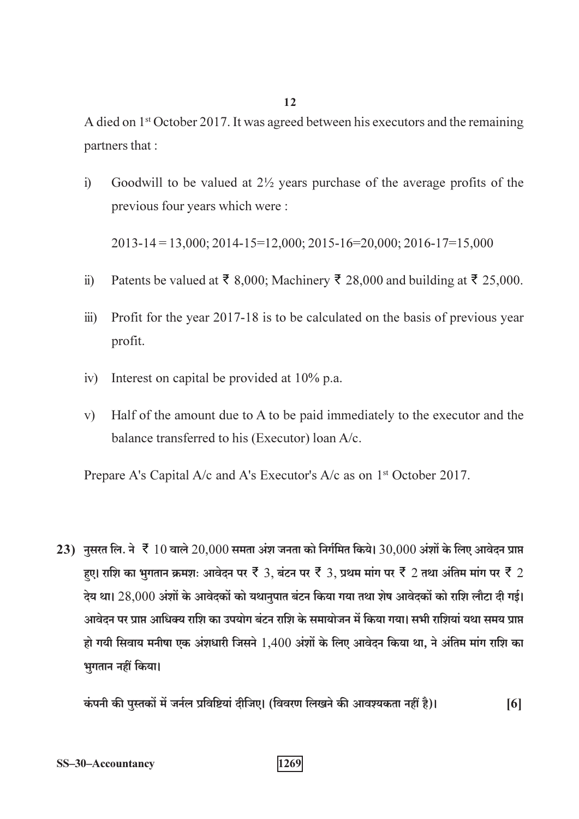A died on 1<sup>st</sup> October 2017. It was agreed between his executors and the remaining partners that :

Goodwill to be valued at  $2\frac{1}{2}$  years purchase of the average profits of the  $i)$ previous four years which were:

 $2013 - 14 = 13,000; 2014 - 15 = 12,000; 2015 - 16 = 20,000; 2016 - 17 = 15,000$ 

- Patents be valued at  $\bar{\tau}$  8,000; Machinery  $\bar{\tau}$  28,000 and building at  $\bar{\tau}$  25,000.  $\ddot{u}$
- Profit for the year 2017-18 is to be calculated on the basis of previous year  $\dddot{\mathbf{u}}$ ) profit.
- Interest on capital be provided at 10% p.a.  $iv)$
- Half of the amount due to A to be paid immediately to the executor and the  $V)$ balance transferred to his (Executor) loan A/c.

Prepare A's Capital A/c and A's Executor's A/c as on 1<sup>st</sup> October 2017.

23) नुसरत लि. ने र्हे 10 वाले 20,000 समता अंश जनता को निर्गमित किये। 30,000 अंशों के लिए आवेदन प्राप्त हुए। राशि का भुगतान क्रमशः आवेदन पर ₹ 3, बंटन पर ₹ 3, प्रथम मांग पर ₹ 2 तथा अंतिम मांग पर ₹ 2 देय था। 28,000 अंशों के आवेदकों को यथानुपात बंटन किया गया तथा शेष आवेदकों को राशि लौटा दी गई। आवेदन पर प्राप्त आधिक्य राशि का उपयोग बंटन राशि के समायोजन में किया गया। सभी राशियां यथा समय प्राप्त हो गयी सिवाय मनीषा एक अंशधारी जिसने 1,400 अंशों के लिए आवेदन किया था, ने अंतिम मांग राशि का भुगतान नहीं किया।

कंपनी की पुस्तकों में जर्नल प्रविष्टियां दीजिए। (विवरण लिखने की आवश्यकता नहीं है)।  $[6]$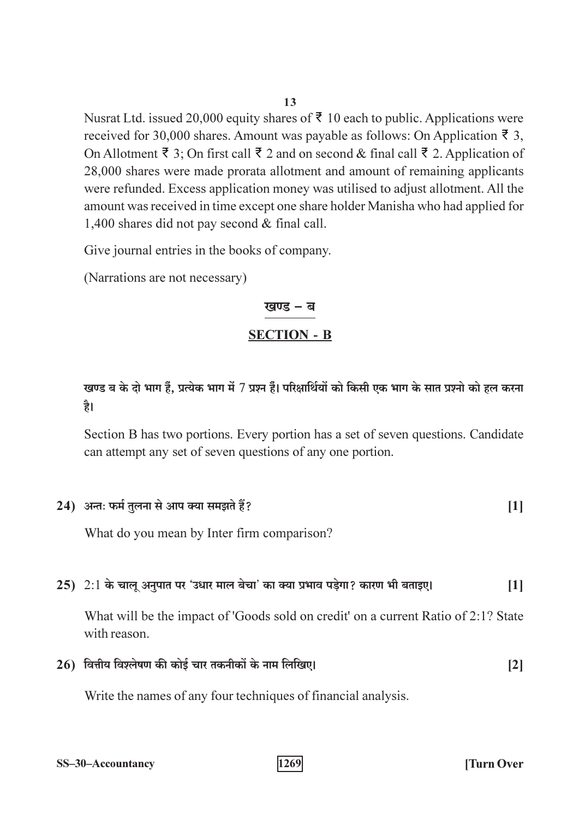Nusrat Ltd. issued 20,000 equity shares of  $\bar{\tau}$  10 each to public. Applications were received for 30,000 shares. Amount was payable as follows: On Application ₹ 3, On Allotment ₹ 3; On first call ₹ 2 and on second & final call ₹ 2. Application of 28,000 shares were made prorata allotment and amount of remaining applicants were refunded. Excess application money was utilised to adjust allotment. All the amount was received in time except one share holder Manisha who had applied for 1,400 shares did not pay second & final call.

Give journal entries in the books of company.

(Narrations are not necessary)

## खण्ड – ब **SECTION - B**

खण्ड ब के दो भाग हैं, प्रत्येक भाग में 7 प्रश्न हैं। परिक्षार्थियों को किसी एक भाग के सात प्रश्नो को हल करना है।

Section B has two portions. Every portion has a set of seven questions. Candidate can attempt any set of seven questions of any one portion.

|  | 24) अन्तः फर्म तुलना से आप क्या समझते हैं? |  |
|--|--------------------------------------------|--|
|--|--------------------------------------------|--|

What do you mean by Inter firm comparison?

#### 25)  $2:1$  के चालू अनुपात पर 'उधार माल बेचा' का क्या प्रभाव पड़ेगा? कारण भी बताइए।  $[1]$

What will be the impact of 'Goods sold on credit' on a current Ratio of 2:1? State with reason.

 $26$ ) वित्तीय विश्लेषण की कोई चार तकनीकों के नाम लिखिए।  $\lceil 2 \rceil$ 

1269

Write the names of any four techniques of financial analysis.

| SS-30-Accountancy |  |  |  |
|-------------------|--|--|--|
|                   |  |  |  |

13

**Turn Over**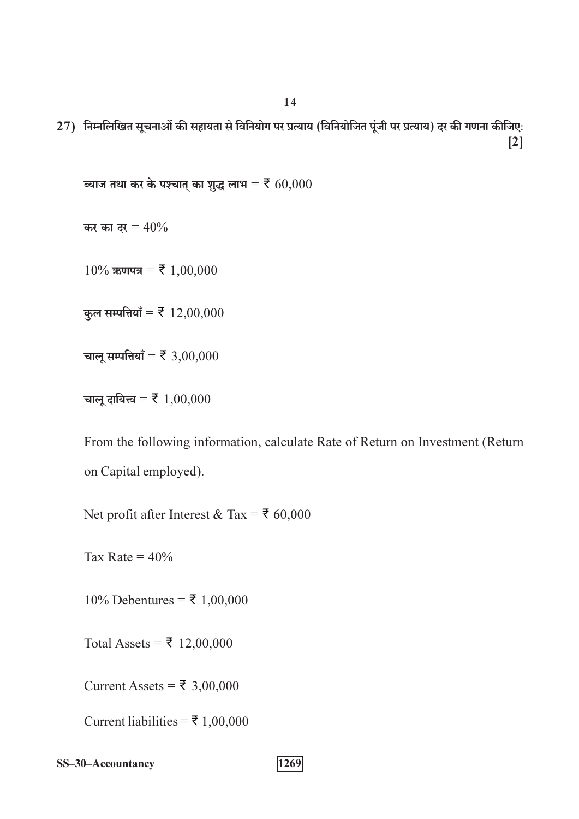27) निम्नलिखित सूचनाओं की सहायता से विनियोग पर प्रत्याय (विनियोजित पूंजी पर प्रत्याय) दर की गणना कीजिए:  $\lceil 2 \rceil$ 

ब्याज तथा कर के पश्चात् का शुद्ध लाभ =  $\bar{\mathbf{z}}$  60,000

कर का दर =  $40\%$ 

 $10\%$  ऋणपत्र = ₹ 1,00,000

कुल सम्पत्तियाँ = ₹ 12,00,000

चालू सम्पत्तियाँ =  $\bar{\mathbf{z}}$  3,00,000

चालू दायित्त्व = ₹ 1,00,000

From the following information, calculate Rate of Return on Investment (Return on Capital employed).

Net profit after Interest & Tax = ₹ 60,000

Tax Rate =  $40\%$ 

 $10\%$  Debentures = ₹ 1,00,000

Total Assets = ₹ 12,00,000

Current Assets =  $\overline{\xi}$  3,00,000

Current liabilities =  $\overline{5}$  1,00,000

SS-30-Accountancy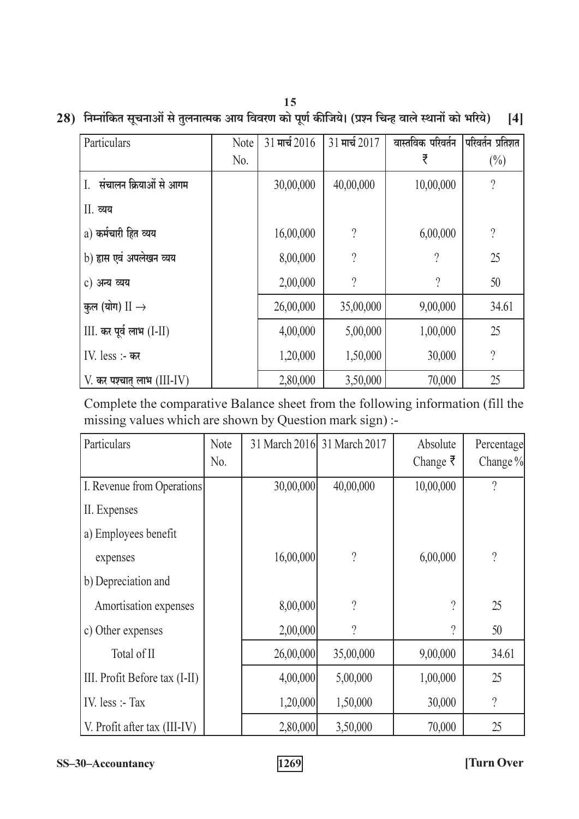### 28) निम्नांकित सूचनाओं से तुलनात्मक आय विवरण को पूर्ण कीजिये। (प्रश्न चिन्ह वाले स्थानों को भरिये) [4]

| Particulars                  | Note | $31$ मार्च $2016$ | 31 मार्च 2017            | वास्तविक परिवर्तन        | परिवर्तन प्रतिशत   |
|------------------------------|------|-------------------|--------------------------|--------------------------|--------------------|
|                              | No.  |                   |                          | ₹                        | $(\%)$             |
| संचालन क्रियाओं से आगम<br>I. |      | 30,00,000         | 40,00,000                | 10,00,000                | $\overline{\cdot}$ |
| II. व्यय                     |      |                   |                          |                          |                    |
| a) कर्मचारी हित व्यय         |      | 16,00,000         | $\overline{\mathcal{C}}$ | 6,00,000                 | $\overline{?}$     |
| b) हास एवं अपलेखन व्यय       |      | 8,00,000          | $\overline{\mathcal{C}}$ | $\overline{\phantom{a}}$ | 25                 |
| c) अन्य व्यय                 |      | 2,00,000          | $\overline{\phantom{a}}$ | $\overline{?}$           | 50                 |
| कुल (योग) $II \rightarrow$   |      | 26,00,000         | 35,00,000                | 9,00,000                 | 34.61              |
| $III.$ कर पूर्व लाभ $(I-II)$ |      | 4,00,000          | 5,00,000                 | 1,00,000                 | 25                 |
| IV. less :- कर               |      | 1,20,000          | 1,50,000                 | 30,000                   | $\overline{?}$     |
| $V.$ कर पश्चात् लाभ (III-IV) |      | 2,80,000          | 3,50,000                 | 70,000                   | 25                 |

Complete the comparative Balance sheet from the following information (fill the missing values which are shown by Question mark sign) :-

| Particulars                   | <b>Note</b><br>No. |           | 31 March 2016 31 March 2017 | Absolute         | Percentage<br>Change % |
|-------------------------------|--------------------|-----------|-----------------------------|------------------|------------------------|
|                               |                    |           |                             | Change $\bar{z}$ |                        |
| I. Revenue from Operations    |                    | 30,00,000 | 40,00,000                   | 10,00,000        | $\overline{?}$         |
| II. Expenses                  |                    |           |                             |                  |                        |
| a) Employees benefit          |                    |           |                             |                  |                        |
| expenses                      |                    | 16,00,000 | $\overline{\cdot}$          | 6,00,000         | $\overline{?}$         |
| b) Depreciation and           |                    |           |                             |                  |                        |
| Amortisation expenses         |                    | 8,00,000  | $\gamma$                    | $\gamma$         | 25                     |
| c) Other expenses             |                    | 2,00,000  | $\overline{?}$              | 9                | 50                     |
| Total of II                   |                    | 26,00,000 | 35,00,000                   | 9,00,000         | 34.61                  |
| III. Profit Before tax (I-II) |                    | 4,00,000  | 5,00,000                    | 1,00,000         | 25                     |
| IV. $less$ :- Tax             |                    | 1,20,000  | 1,50,000                    | 30,000           | $\overline{?}$         |
| V. Profit after tax (III-IV)  |                    | 2,80,000  | 3,50,000                    | 70,000           | 25                     |

SS-30-Accountancy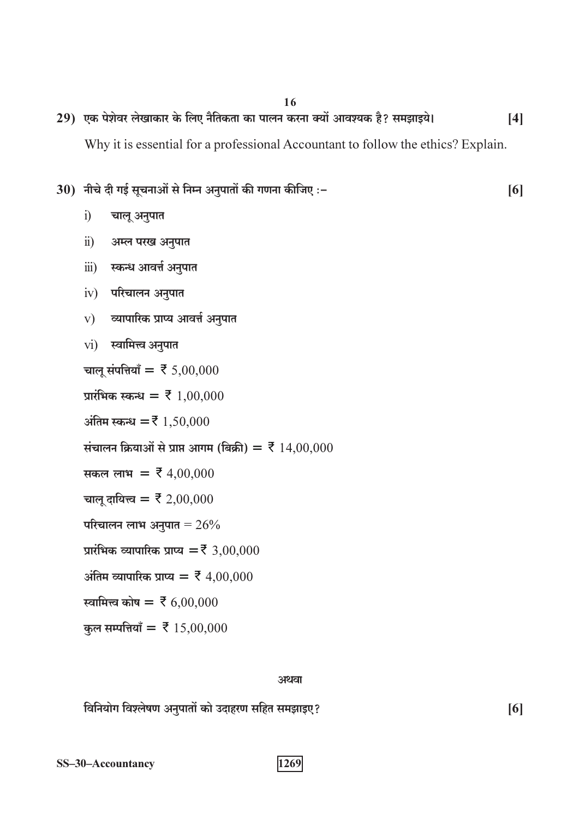29) एक पेशेवर लेखाकार के लिए नैतिकता का पालन करना क्यों आवश्यक है? समझाइये।  $[4]$ 

Why it is essential for a professional Accountant to follow the ethics? Explain.

 $[6]$ 

 $[6]$ 

#### 30) नीचे दी गई सूचनाओं से निम्न अनुपातों की गणना कीजिए :-

- $i)$ चालू अनुपात
- $\ddot{i}$ ) अम्ल परख अनुपात
- स्कन्ध आवर्त्त अनुपात  $\dddot{\mathbf{u}}$
- $iv)$  परिचालन अनुपात
- व्यापारिक प्राप्य आवर्त्त अनुपात  $V)$
- $vi)$  स्वामित्त्व अनुपात

चालू संपत्तियाँ = ₹ 5,00,000

प्रारंभिक स्कन्ध =  $\bar{z}$  1,00,000

अंतिम स्कन्ध =  $\bar{z}$  1,50,000

संचालन क्रियाओं से प्राप्त आगम (बिक्री) =  $\bar{\xi}$  14,00,000

सकल लाभ =  $\overline{z}$  4,00,000

- चालू दायित्त्व = ₹ 2,00,000
- परिचालन लाभ अनुपात =  $26\%$
- प्रारंभिक व्यापारिक प्राप्य = ₹ 3,00,000
- अंतिम व्यापारिक प्राप्य =  $\bar{\xi}$  4,00,000
- स्वामित्त्व कोष =  $\bar{z}$  6,00,000
- कुल सम्पत्तियाँ = ₹ 15,00,000

#### अथवा

विनियोग विश्लेषण अनुपातों को उदाहरण सहित समझाइए?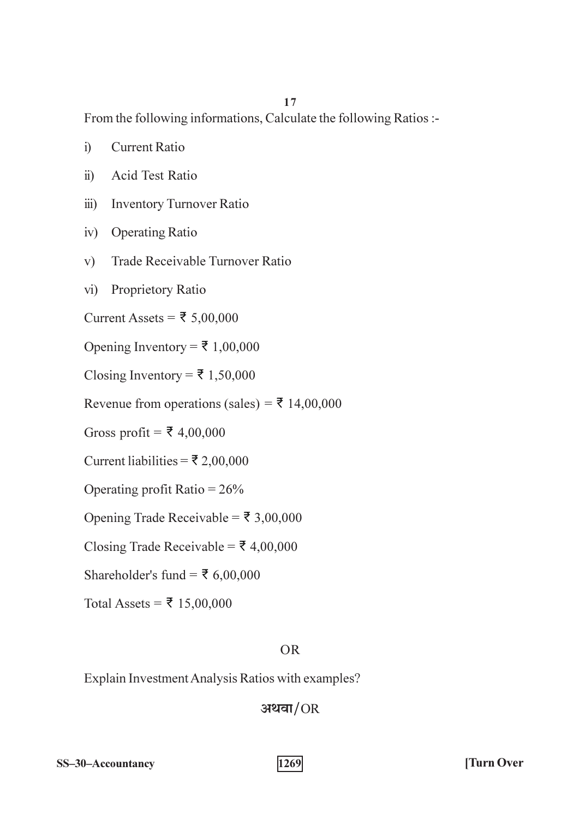From the following informations, Calculate the following Ratios :-

- Current Ratio  $i)$
- $\ddot{u}$ **Acid Test Ratio**
- **Inventory Turnover Ratio**  $\dddot{\mathbf{u}}$
- iv) Operating Ratio
- Trade Receivable Turnover Ratio  $V$ )
- vi) Proprietory Ratio

Current Assets = ₹ 5,00,000

Opening Inventory = ₹ 1,00,000

Closing Inventory =  $\overline{5}$  1,50,000

Revenue from operations (sales) =  $\overline{5}$  14,00,000

Gross profit =  $\overline{\xi}$  4,00,000

Current liabilities = ₹ 2,00,000

Operating profit Ratio =  $26\%$ 

Opening Trade Receivable = ₹ 3,00,000

Closing Trade Receivable =  $\overline{5}$  4,00,000

Shareholder's fund =  $\overline{5}$  6,00,000

Total Assets = ₹ 15,00,000

#### $OR$

Explain Investment Analysis Ratios with examples?

### अथवा $/OR$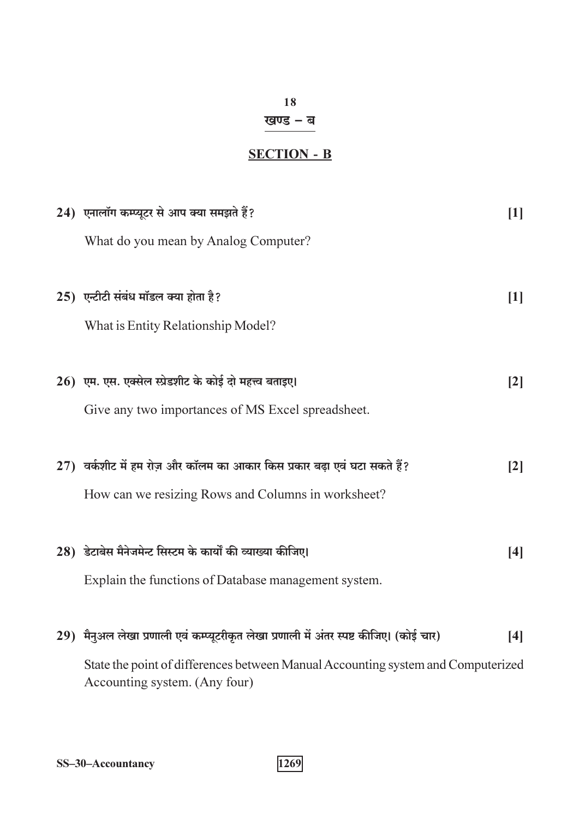### खण्ड – ब

### **SECTION - B**

| 24) एनालॉग कम्प्यूटर से आप क्या समझते हैं?                                                                        | $[1]$             |
|-------------------------------------------------------------------------------------------------------------------|-------------------|
| What do you mean by Analog Computer?                                                                              |                   |
| 25) एन्टीटी संबंध मॉडल क्या होता है?                                                                              | [1]               |
| What is Entity Relationship Model?                                                                                |                   |
| 26) एम. एस. एक्सेल स्प्रेडशीट के कोई दो महत्त्व बताइए।                                                            | $\lceil 2 \rceil$ |
| Give any two importances of MS Excel spreadsheet.                                                                 |                   |
| $(27)$ वर्कशीट में हम रोज़ और कॉलम का आकार किस प्रकार बढ़ा एवं घटा सकते हैं?                                      | $\lceil 2 \rceil$ |
| How can we resizing Rows and Columns in worksheet?                                                                |                   |
| 28) डेटाबेस मैनेजमेन्ट सिस्टम के कार्यों की व्याख्या कीजिए।                                                       | [4]               |
| Explain the functions of Database management system.                                                              |                   |
| 29) मैनुअल लेखा प्रणाली एवं कम्प्यूटरीकृत लेखा प्रणाली में अंतर स्पष्ट कीजिए। (कोई चार)                           | [4]               |
| State the point of differences between Manual Accounting system and Computerized<br>Accounting system. (Any four) |                   |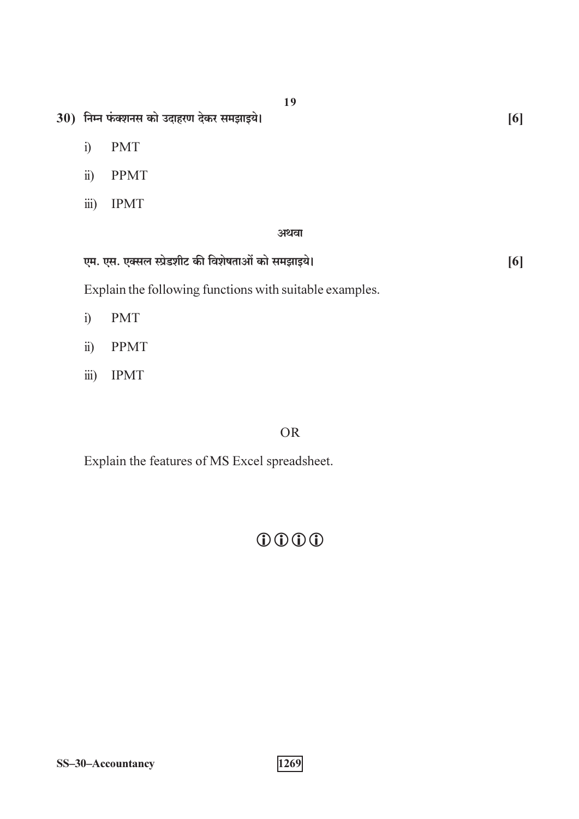- 30) निम्न फंक्शनस को उदाहरण देकर समझाइये।
	- $i)$ **PMT**
	- **PPMT**  $\ddot{\text{1}})$
	- $\dddot{\mathbf{m}}$ ) **IPMT**

#### अथवा

| एम. एस. एक्सल स्प्रेडशीट की विशेषताओं को समझाइये। |  |
|---------------------------------------------------|--|
|---------------------------------------------------|--|

Explain the following functions with suitable examples.

- **PMT**  $i)$
- **PPMT**  $\ddot{i}$ )
- $\dddot{\mathbf{m}}$ ) **IPMT**

### **OR**

Explain the features of MS Excel spreadsheet.

### $0000$

 $\overline{1269}$ 

 $[6]$